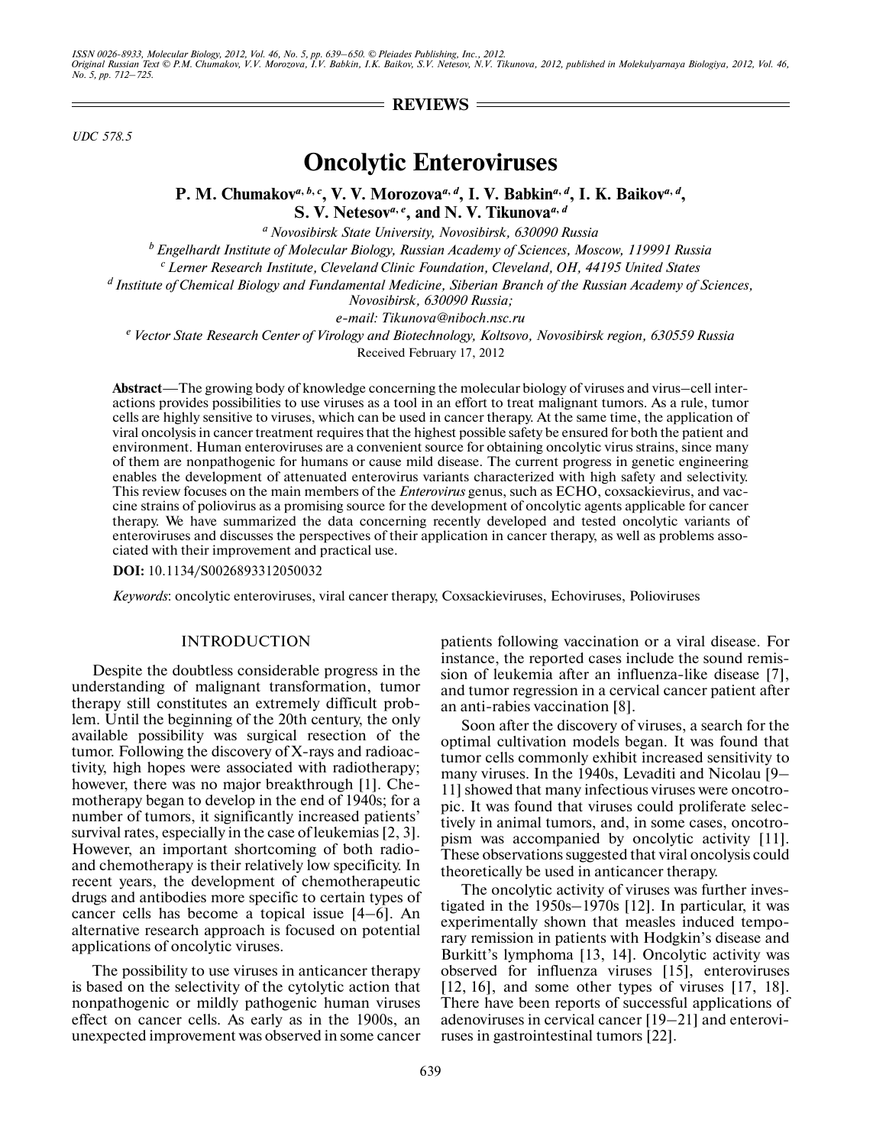$=$ **REVIEWS** $=$ 

*UDC 578.5*

# **Oncolytic Enteroviruses**

# P. M. Chumakov<sup>*a*, b, c</sup>, V. V. Morozova<sup>*a*, *d*</sup>, I. V. Babkin<sup>*a*, *d*</sup>, I. K. Baikov<sup>*a*, *d*</sup>, **S. V. Netesov***<sup>a</sup>***,** *<sup>e</sup>* **, and N. V. Tikunova***<sup>a</sup>***,** *<sup>d</sup>*

*a Novosibirsk State University, Novosibirsk, 630090 Russia*

*b Engelhardt Institute of Molecular Biology, Russian Academy of Sciences, Moscow, 119991 Russia*

*c Lerner Research Institute, Cleveland Clinic Foundation, Cleveland, OH, 44195 United States*

*d Institute of Chemical Biology and Fundamental Medicine, Siberian Branch of the Russian Academy of Sciences,* 

*Novosibirsk, 630090 Russia;*

*e-mail: Tikunova@niboch.nsc.ru*

*e Vector State Research Center of Virology and Biotechnology, Koltsovo, Novosibirsk region, 630559 Russia* Received February 17, 2012

**Abstract**—The growing body of knowledge concerning the molecular biology of viruses and virus–cell inter actions provides possibilities to use viruses as a tool in an effort to treat malignant tumors. As a rule, tumor cells are highly sensitive to viruses, which can be used in cancer therapy. At the same time, the application of viral oncolysis in cancer treatment requires that the highest possible safety be ensured for both the patient and environment. Human enteroviruses are a convenient source for obtaining oncolytic virus strains, since many of them are nonpathogenic for humans or cause mild disease. The current progress in genetic engineering enables the development of attenuated enterovirus variants characterized with high safety and selectivity. This review focuses on the main members of the *Enterovirus* genus, such as ECHO, coxsackievirus, and vac cine strains of poliovirus as a promising source for the development of oncolytic agents applicable for cancer therapy. We have summarized the data concerning recently developed and tested oncolytic variants of enteroviruses and discusses the perspectives of their application in cancer therapy, as well as problems asso ciated with their improvement and practical use.

**DOI:** 10.1134/S0026893312050032

*Keywords*: oncolytic enteroviruses, viral cancer therapy, Coxsackieviruses, Echoviruses, Polioviruses

#### INTRODUCTION

Despite the doubtless considerable progress in the understanding of malignant transformation, tumor therapy still constitutes an extremely difficult prob lem. Until the beginning of the 20th century, the only available possibility was surgical resection of the tumor. Following the discovery of X-rays and radioac tivity, high hopes were associated with radiotherapy; however, there was no major breakthrough [1]. Che motherapy began to develop in the end of 1940s; for a number of tumors, it significantly increased patients' survival rates, especially in the case of leukemias [2, 3]. However, an important shortcoming of both radio and chemotherapy is their relatively low specificity. In recent years, the development of chemotherapeutic drugs and antibodies more specific to certain types of cancer cells has become a topical issue [4–6]. An alternative research approach is focused on potential applications of oncolytic viruses.

The possibility to use viruses in anticancer therapy is based on the selectivity of the cytolytic action that nonpathogenic or mildly pathogenic human viruses effect on cancer cells. As early as in the 1900s, an unexpected improvement was observed in some cancer patients following vaccination or a viral disease. For instance, the reported cases include the sound remis sion of leukemia after an influenza-like disease [7], and tumor regression in a cervical cancer patient after an anti-rabies vaccination [8].

Soon after the discovery of viruses, a search for the optimal cultivation models began. It was found that tumor cells commonly exhibit increased sensitivity to many viruses. In the 1940s, Levaditi and Nicolau [9– 11] showed that many infectious viruses were oncotro pic. It was found that viruses could proliferate selec tively in animal tumors, and, in some cases, oncotro pism was accompanied by oncolytic activity [11]. These observations suggested that viral oncolysis could theoretically be used in anticancer therapy.

The oncolytic activity of viruses was further inves tigated in the 1950s–1970s [12]. In particular, it was experimentally shown that measles induced tempo rary remission in patients with Hodgkin's disease and Burkitt's lymphoma [13, 14]. Oncolytic activity was observed for influenza viruses [15], enteroviruses [12, 16], and some other types of viruses [17, 18]. There have been reports of successful applications of adenoviruses in cervical cancer [19–21] and enterovi ruses in gastrointestinal tumors [22].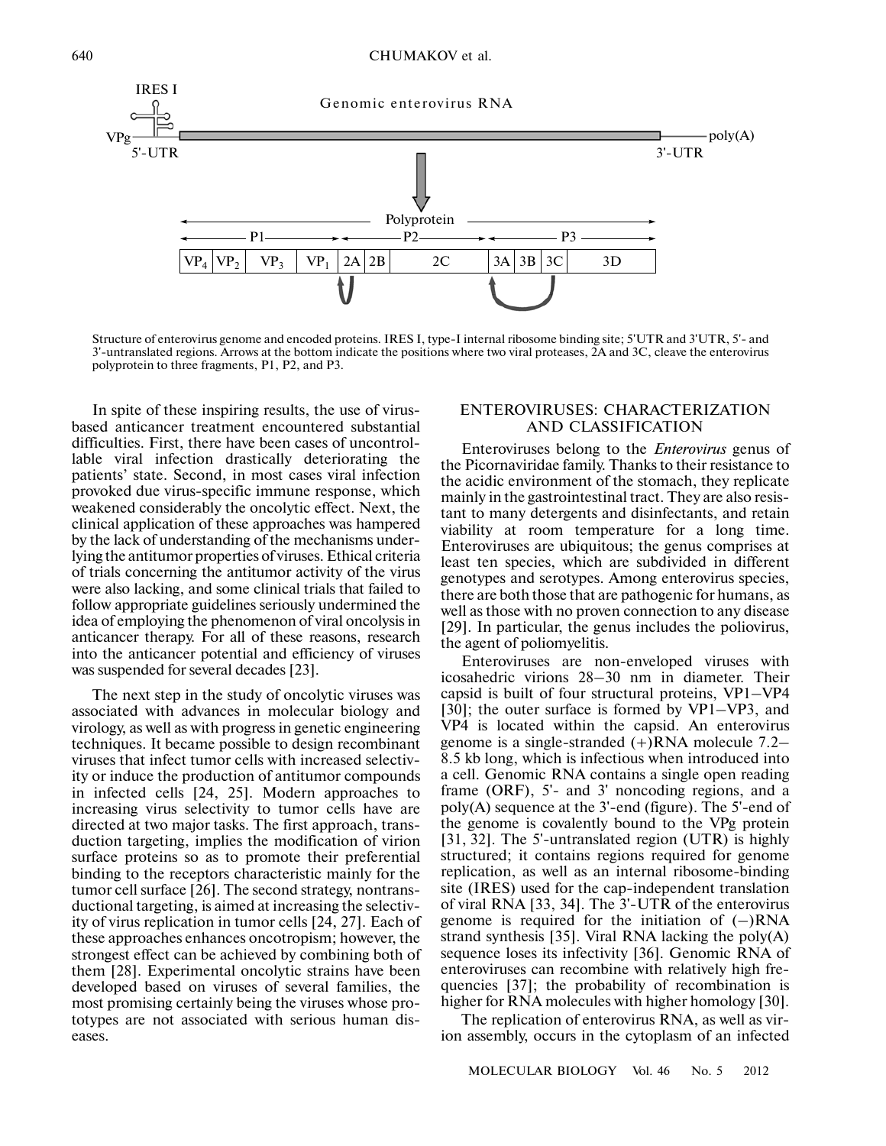

Structure of enterovirus genome and encoded proteins. IRES I, type-I internal ribosome binding site; 5'UTR and 3'UTR, 5'- and 3'-untranslated regions. Arrows at the bottom indicate the positions where two viral proteases, 2A and 3C, cleave the enterovirus polyprotein to three fragments, P1, P2, and P3.

In spite of these inspiring results, the use of virus based anticancer treatment encountered substantial difficulties. First, there have been cases of uncontrol lable viral infection drastically deteriorating the patients' state. Second, in most cases viral infection provoked due virus-specific immune response, which weakened considerably the oncolytic effect. Next, the clinical application of these approaches was hampered by the lack of understanding of the mechanisms under lying the antitumor properties of viruses. Ethical criteria of trials concerning the antitumor activity of the virus were also lacking, and some clinical trials that failed to follow appropriate guidelines seriously undermined the idea of employing the phenomenon of viral oncolysis in anticancer therapy. For all of these reasons, research into the anticancer potential and efficiency of viruses was suspended for several decades [23].

The next step in the study of oncolytic viruses was associated with advances in molecular biology and virology, as well as with progress in genetic engineering techniques. It became possible to design recombinant viruses that infect tumor cells with increased selectivity or induce the production of antitumor compounds in infected cells [24, 25]. Modern approaches to increasing virus selectivity to tumor cells have are directed at two major tasks. The first approach, trans duction targeting, implies the modification of virion surface proteins so as to promote their preferential binding to the receptors characteristic mainly for the tumor cell surface [26]. The second strategy, nontrans ductional targeting, is aimed at increasing the selectiv ity of virus replication in tumor cells [24, 27]. Each of these approaches enhances oncotropism; however, the strongest effect can be achieved by combining both of them [28]. Experimental oncolytic strains have been developed based on viruses of several families, the most promising certainly being the viruses whose pro totypes are not associated with serious human dis eases.

# ENTEROVIRUSES: CHARACTERIZATION AND CLASSIFICATION

Enteroviruses belong to the *Enterovirus* genus of the Picornaviridae family. Thanks to their resistance to the acidic environment of the stomach, they replicate mainly in the gastrointestinal tract. They are also resis tant to many detergents and disinfectants, and retain viability at room temperature for a long time. Enteroviruses are ubiquitous; the genus comprises at least ten species, which are subdivided in different genotypes and serotypes. Among enterovirus species, there are both those that are pathogenic for humans, as well as those with no proven connection to any disease [29]. In particular, the genus includes the poliovirus, the agent of poliomyelitis.

Enteroviruses are non-enveloped viruses with icosahedric virions 28–30 nm in diameter. Their capsid is built of four structural proteins, VP1–VP4 [30]; the outer surface is formed by VP1–VP3, and VP4 is located within the capsid. An enterovirus genome is a single-stranded (+)RNA molecule 7.2– 8.5 kb long, which is infectious when introduced into a cell. Genomic RNA contains a single open reading frame (ORF), 5'- and 3' noncoding regions, and a poly(A) sequence at the 3'-end (figure). The 5'-end of the genome is covalently bound to the VPg protein [31, 32]. The 5'-untranslated region (UTR) is highly structured; it contains regions required for genome replication, as well as an internal ribosome-binding site (IRES) used for the cap-independent translation of viral RNA [33, 34]. The 3'-UTR of the enterovirus genome is required for the initiation of  $(-)RNA$ strand synthesis [35]. Viral RNA lacking the poly(A) sequence loses its infectivity [36]. Genomic RNA of enteroviruses can recombine with relatively high fre quencies [37]; the probability of recombination is higher for RNA molecules with higher homology [30].

The replication of enterovirus RNA, as well as vir ion assembly, occurs in the cytoplasm of an infected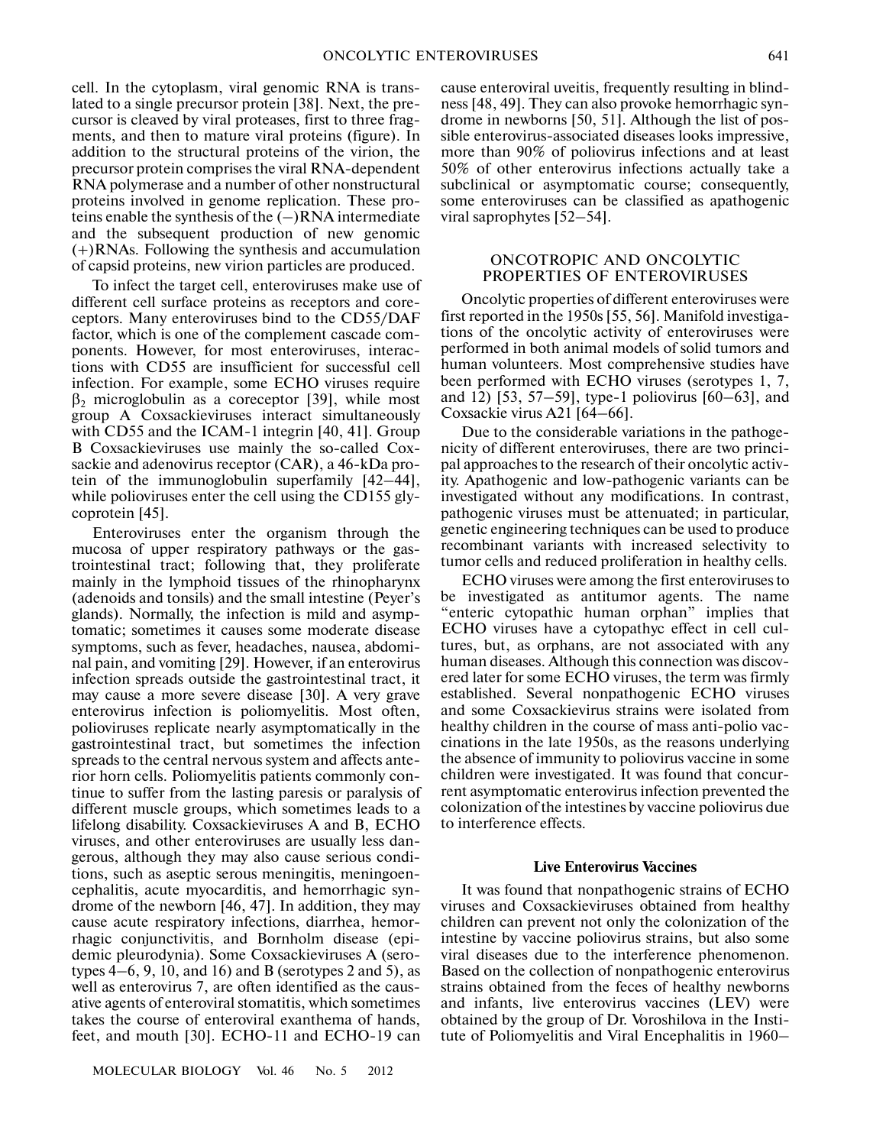cell. In the cytoplasm, viral genomic RNA is trans lated to a single precursor protein [38]. Next, the pre cursor is cleaved by viral proteases, first to three frag ments, and then to mature viral proteins (figure). In addition to the structural proteins of the virion, the precursor protein comprises the viral RNA-dependent RNA polymerase and a number of other nonstructural proteins involved in genome replication. These pro teins enable the synthesis of the  $(-)$ RNA intermediate and the subsequent production of new genomic (+)RNAs. Following the synthesis and accumulation of capsid proteins, new virion particles are produced.

To infect the target cell, enteroviruses make use of different cell surface proteins as receptors and core ceptors. Many enteroviruses bind to the CD55/DAF factor, which is one of the complement cascade com ponents. However, for most enteroviruses, interac tions with CD55 are insufficient for successful cell infection. For example, some ECHO viruses require  $β_2$  microglobulin as a coreceptor [39], while most group A Coxsackieviruses interact simultaneously with CD55 and the ICAM-1 integrin [40, 41]. Group B Coxsackieviruses use mainly the so-called Cox sackie and adenovirus receptor (CAR), a 46-kDa pro tein of the immunoglobulin superfamily [42–44], while polioviruses enter the cell using the CD155 gly coprotein [45].

Enteroviruses enter the organism through the mucosa of upper respiratory pathways or the gas trointestinal tract; following that, they proliferate mainly in the lymphoid tissues of the rhinopharynx (adenoids and tonsils) and the small intestine (Peyer's glands). Normally, the infection is mild and asymp tomatic; sometimes it causes some moderate disease symptoms, such as fever, headaches, nausea, abdomi nal pain, and vomiting [29]. However, if an enterovirus infection spreads outside the gastrointestinal tract, it may cause a more severe disease [30]. A very grave enterovirus infection is poliomyelitis. Most often, polioviruses replicate nearly asymptomatically in the gastrointestinal tract, but sometimes the infection spreads to the central nervous system and affects ante rior horn cells. Poliomyelitis patients commonly con tinue to suffer from the lasting paresis or paralysis of different muscle groups, which sometimes leads to a lifelong disability. Coxsackieviruses A and B, ECHO viruses, and other enteroviruses are usually less dan gerous, although they may also cause serious condi tions, such as aseptic serous meningitis, meningoen cephalitis, acute myocarditis, and hemorrhagic syn drome of the newborn [46, 47]. In addition, they may cause acute respiratory infections, diarrhea, hemor rhagic conjunctivitis, and Bornholm disease (epi demic pleurodynia). Some Coxsackieviruses A (sero types  $4-6$ , 9, 10, and 16) and B (serotypes 2 and 5), as well as enterovirus 7, are often identified as the caus ative agents of enteroviral stomatitis, which sometimes takes the course of enteroviral exanthema of hands, feet, and mouth [30]. ECHO-11 and ECHO-19 can

MOLECULAR BIOLOGY Vol. 46 No. 5 2012

cause enteroviral uveitis, frequently resulting in blind ness [48, 49]. They can also provoke hemorrhagic syn drome in newborns [50, 51]. Although the list of pos sible enterovirus-associated diseases looks impressive, more than 90% of poliovirus infections and at least 50% of other enterovirus infections actually take a subclinical or asymptomatic course; consequently, some enteroviruses can be classified as apathogenic viral saprophytes [52–54].

## ONCOTROPIC AND ONCOLYTIC PROPERTIES OF ENTEROVIRUSES

Oncolytic properties of different enteroviruses were first reported in the 1950s [55, 56]. Manifold investiga tions of the oncolytic activity of enteroviruses were performed in both animal models of solid tumors and human volunteers. Most comprehensive studies have been performed with ECHO viruses (serotypes 1, 7, and 12) [53, 57–59], type-1 poliovirus [60–63], and Coxsackie virus A21 [64–66].

Due to the considerable variations in the pathoge nicity of different enteroviruses, there are two princi pal approaches to the research of their oncolytic activ ity. Apathogenic and low-pathogenic variants can be investigated without any modifications. In contrast, pathogenic viruses must be attenuated; in particular, genetic engineering techniques can be used to produce recombinant variants with increased selectivity to tumor cells and reduced proliferation in healthy cells.

ECHO viruses were among the first enteroviruses to be investigated as antitumor agents. The name "enteric cytopathic human orphan" implies that ECHO viruses have a cytopathyc effect in cell cul tures, but, as orphans, are not associated with any human diseases. Although this connection was discov ered later for some ECHO viruses, the term was firmly established. Several nonpathogenic ECHO viruses and some Coxsackievirus strains were isolated from healthy children in the course of mass anti-polio vaccinations in the late 1950s, as the reasons underlying the absence of immunity to poliovirus vaccine in some children were investigated. It was found that concur rent asymptomatic enterovirus infection prevented the colonization of the intestines by vaccine poliovirus due to interference effects.

#### **Live Enterovirus Vaccines**

It was found that nonpathogenic strains of ECHO viruses and Coxsackieviruses obtained from healthy children can prevent not only the colonization of the intestine by vaccine poliovirus strains, but also some viral diseases due to the interference phenomenon. Based on the collection of nonpathogenic enterovirus strains obtained from the feces of healthy newborns and infants, live enterovirus vaccines (LEV) were obtained by the group of Dr. Voroshilova in the Insti tute of Poliomyelitis and Viral Encephalitis in 1960–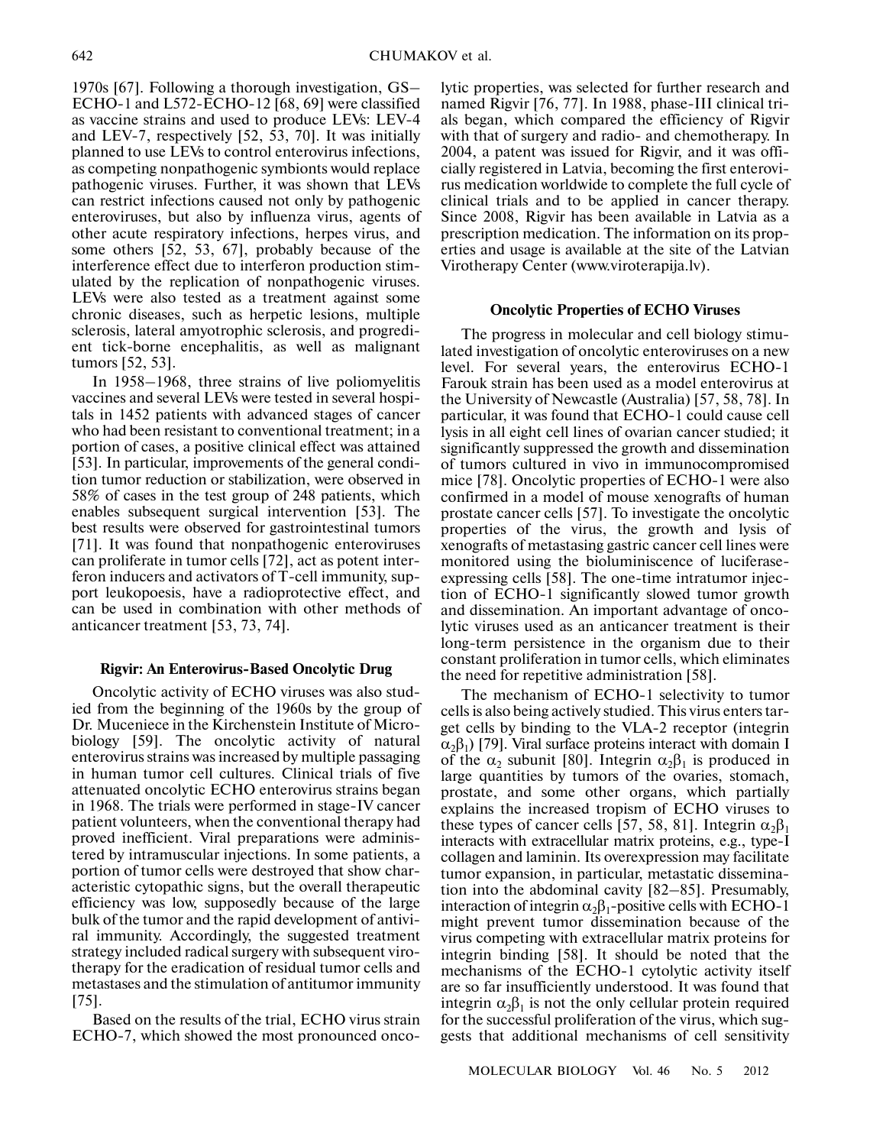1970s [67]. Following a thorough investigation, GS– ECHO-1 and L572-ECHO-12 [68, 69] were classified as vaccine strains and used to produce LEVs: LEV-4 and LEV-7, respectively [52, 53, 70]. It was initially planned to use LEVs to control enterovirus infections, as competing nonpathogenic symbionts would replace pathogenic viruses. Further, it was shown that LEVs can restrict infections caused not only by pathogenic enteroviruses, but also by influenza virus, agents of other acute respiratory infections, herpes virus, and some others [52, 53, 67], probably because of the interference effect due to interferon production stim ulated by the replication of nonpathogenic viruses. LEVs were also tested as a treatment against some chronic diseases, such as herpetic lesions, multiple sclerosis, lateral amyotrophic sclerosis, and progredi ent tick-borne encephalitis, as well as malignant tumors [52, 53].

In 1958–1968, three strains of live poliomyelitis vaccines and several LEVs were tested in several hospi tals in 1452 patients with advanced stages of cancer who had been resistant to conventional treatment; in a portion of cases, a positive clinical effect was attained [53]. In particular, improvements of the general condi tion tumor reduction or stabilization, were observed in 58% of cases in the test group of 248 patients, which enables subsequent surgical intervention [53]. The best results were observed for gastrointestinal tumors [71]. It was found that nonpathogenic enteroviruses can proliferate in tumor cells [72], act as potent inter feron inducers and activators of T-cell immunity, sup port leukopoesis, have a radioprotective effect, and can be used in combination with other methods of anticancer treatment [53, 73, 74].

# **Rigvir: An Enterovirus-Based Oncolytic Drug**

Oncolytic activity of ECHO viruses was also stud ied from the beginning of the 1960s by the group of Dr. Muceniece in the Kirchenstein Institute of Micro biology [59]. The oncolytic activity of natural enterovirus strains was increased by multiple passaging in human tumor cell cultures. Clinical trials of five attenuated oncolytic ECHO enterovirus strains began in 1968. The trials were performed in stage-IV cancer patient volunteers, when the conventional therapy had proved inefficient. Viral preparations were adminis tered by intramuscular injections. In some patients, a portion of tumor cells were destroyed that show char acteristic cytopathic signs, but the overall therapeutic efficiency was low, supposedly because of the large bulk of the tumor and the rapid development of antivi ral immunity. Accordingly, the suggested treatment strategy included radical surgery with subsequent viro therapy for the eradication of residual tumor cells and metastases and the stimulation of antitumor immunity [75].

Based on the results of the trial, ECHO virus strain ECHO-7, which showed the most pronounced oncolytic properties, was selected for further research and named Rigvir [76, 77]. In 1988, phase-III clinical tri als began, which compared the efficiency of Rigvir with that of surgery and radio- and chemotherapy. In 2004, a patent was issued for Rigvir, and it was offi cially registered in Latvia, becoming the first enterovi rus medication worldwide to complete the full cycle of clinical trials and to be applied in cancer therapy. Since 2008, Rigvir has been available in Latvia as a prescription medication. The information on its prop erties and usage is available at the site of the Latvian Virotherapy Center (www.viroterapija.lv).

#### **Oncolytic Properties of ECHO Viruses**

The progress in molecular and cell biology stimu lated investigation of oncolytic enteroviruses on a new level. For several years, the enterovirus ECHO-1 Farouk strain has been used as a model enterovirus at the University of Newcastle (Australia) [57, 58, 78]. In particular, it was found that ECHO-1 could cause cell lysis in all eight cell lines of ovarian cancer studied; it significantly suppressed the growth and dissemination of tumors cultured in vivo in immunocompromised mice [78]. Oncolytic properties of ECHO-1 were also confirmed in a model of mouse xenografts of human prostate cancer cells [57]. To investigate the oncolytic properties of the virus, the growth and lysis of xenografts of metastasing gastric cancer cell lines were monitored using the bioluminiscence of luciferase expressing cells [58]. The one-time intratumor injec tion of ECHO-1 significantly slowed tumor growth and dissemination. An important advantage of onco lytic viruses used as an anticancer treatment is their long-term persistence in the organism due to their constant proliferation in tumor cells, which eliminates the need for repetitive administration [58].

The mechanism of ECHO-1 selectivity to tumor cells is also being actively studied. This virus enters tar get cells by binding to the VLA-2 receptor (integrin  $\alpha_2\beta_1$ ) [79]. Viral surface proteins interact with domain I of the  $\alpha_2$  subunit [80]. Integrin  $\alpha_2\beta_1$  is produced in large quantities by tumors of the ovaries, stomach, prostate, and some other organs, which partially explains the increased tropism of ECHO viruses to these types of cancer cells [57, 58, 81]. Integrin  $\alpha_2\beta_1$ interacts with extracellular matrix proteins, e.g., type-I collagen and laminin. Its overexpression may facilitate tumor expansion, in particular, metastatic dissemina tion into the abdominal cavity [82–85]. Presumably, interaction of integrin  $\alpha_2\beta_1$ -positive cells with ECHO-1 might prevent tumor dissemination because of the virus competing with extracellular matrix proteins for integrin binding [58]. It should be noted that the mechanisms of the ECHO-1 cytolytic activity itself are so far insufficiently understood. It was found that integrin  $\alpha_2\beta_1$  is not the only cellular protein required for the successful proliferation of the virus, which sug gests that additional mechanisms of cell sensitivity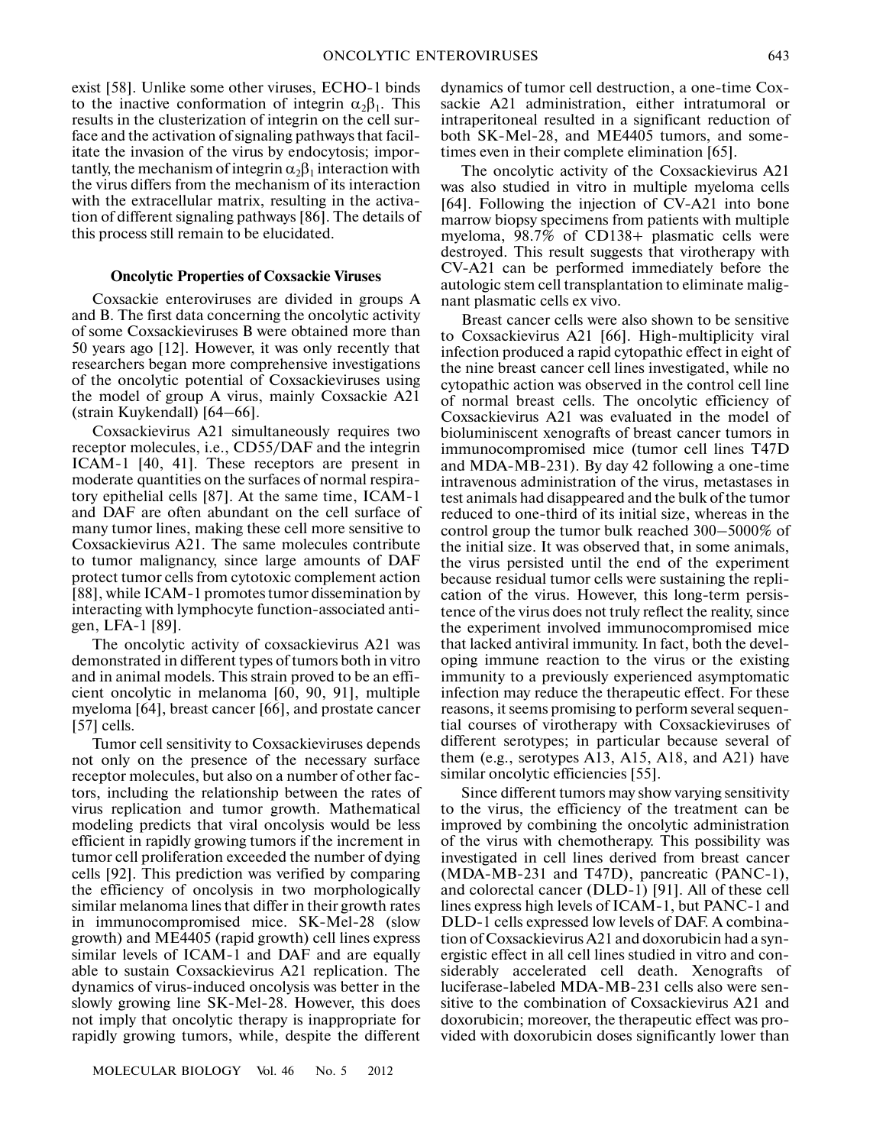exist [58]. Unlike some other viruses, ECHO-1 binds to the inactive conformation of integrin  $\alpha_2\beta_1$ . This results in the clusterization of integrin on the cell sur face and the activation of signaling pathways that facil itate the invasion of the virus by endocytosis; impor tantly, the mechanism of integrin  $\alpha_2\beta_1$  interaction with the virus differs from the mechanism of its interaction with the extracellular matrix, resulting in the activa tion of different signaling pathways [86]. The details of this process still remain to be elucidated.

#### **Oncolytic Properties of Coxsackie Viruses**

Coxsackie enteroviruses are divided in groups A and B. The first data concerning the oncolytic activity of some Coxsackieviruses B were obtained more than 50 years ago [12]. However, it was only recently that researchers began more comprehensive investigations of the oncolytic potential of Coxsackieviruses using the model of group A virus, mainly Coxsackie A21 (strain Kuykendall) [64–66].

Coxsackievirus A21 simultaneously requires two receptor molecules, i.e., CD55/DAF and the integrin ICAM-1 [40, 41]. These receptors are present in moderate quantities on the surfaces of normal respira tory epithelial cells [87]. At the same time, ICAM-1 and DAF are often abundant on the cell surface of many tumor lines, making these cell more sensitive to Coxsackievirus A21. The same molecules contribute to tumor malignancy, since large amounts of DAF protect tumor cells from cytotoxic complement action [88], while ICAM-1 promotes tumor dissemination by interacting with lymphocyte function-associated anti gen, LFA-1 [89].

The oncolytic activity of coxsackievirus A21 was demonstrated in different types of tumors both in vitro and in animal models. This strain proved to be an effi cient oncolytic in melanoma [60, 90, 91], multiple myeloma [64], breast cancer [66], and prostate cancer  $[57]$  cells.

Tumor cell sensitivity to Coxsackieviruses depends not only on the presence of the necessary surface receptor molecules, but also on a number of other fac tors, including the relationship between the rates of virus replication and tumor growth. Mathematical modeling predicts that viral oncolysis would be less efficient in rapidly growing tumors if the increment in tumor cell proliferation exceeded the number of dying cells [92]. This prediction was verified by comparing the efficiency of oncolysis in two morphologically similar melanoma lines that differ in their growth rates in immunocompromised mice. SK-Mel-28 (slow growth) and ME4405 (rapid growth) cell lines express similar levels of ICAM-1 and DAF and are equally able to sustain Coxsackievirus A21 replication. The dynamics of virus-induced oncolysis was better in the slowly growing line SK-Mel-28. However, this does not imply that oncolytic therapy is inappropriate for rapidly growing tumors, while, despite the different

dynamics of tumor cell destruction, a one-time Cox sackie A21 administration, either intratumoral or intraperitoneal resulted in a significant reduction of both SK-Mel-28, and ME4405 tumors, and some times even in their complete elimination [65].

The oncolytic activity of the Coxsackievirus A21 was also studied in vitro in multiple myeloma cells [64]. Following the injection of CV-A21 into bone marrow biopsy specimens from patients with multiple myeloma, 98.7% of CD138+ plasmatic cells were destroyed. This result suggests that virotherapy with CV-A21 can be performed immediately before the autologic stem cell transplantation to eliminate malig nant plasmatic cells ex vivo.

Breast cancer cells were also shown to be sensitive to Coxsackievirus A21 [66]. High-multiplicity viral infection produced a rapid cytopathic effect in eight of the nine breast cancer cell lines investigated, while no cytopathic action was observed in the control cell line of normal breast cells. The oncolytic efficiency of Coxsackievirus A21 was evaluated in the model of bioluminiscent xenografts of breast cancer tumors in immunocompromised mice (tumor cell lines T47D and MDA-MB-231). By day 42 following a one-time intravenous administration of the virus, metastases in test animals had disappeared and the bulk of the tumor reduced to one-third of its initial size, whereas in the control group the tumor bulk reached 300–5000% of the initial size. It was observed that, in some animals, the virus persisted until the end of the experiment because residual tumor cells were sustaining the repli cation of the virus. However, this long-term persis tence of the virus does not truly reflect the reality, since the experiment involved immunocompromised mice that lacked antiviral immunity. In fact, both the devel oping immune reaction to the virus or the existing immunity to a previously experienced asymptomatic infection may reduce the therapeutic effect. For these reasons, it seems promising to perform several sequen tial courses of virotherapy with Coxsackieviruses of different serotypes; in particular because several of them (e.g., serotypes A13, A15, A18, and A21) have similar oncolytic efficiencies [55].

Since different tumors may show varying sensitivity to the virus, the efficiency of the treatment can be improved by combining the oncolytic administration of the virus with chemotherapy. This possibility was investigated in cell lines derived from breast cancer (MDA-MB-231 and T47D), pancreatic (PANC-1), and colorectal cancer (DLD-1) [91]. All of these cell lines express high levels of ICAM-1, but PANC-1 and DLD-1 cells expressed low levels of DAF. A combina tion of Coxsackievirus A21 and doxorubicin had a syn ergistic effect in all cell lines studied in vitro and con siderably accelerated cell death. Xenografts of luciferase-labeled MDA-MB-231 cells also were sen sitive to the combination of Coxsackievirus A21 and doxorubicin; moreover, the therapeutic effect was pro vided with doxorubicin doses significantly lower than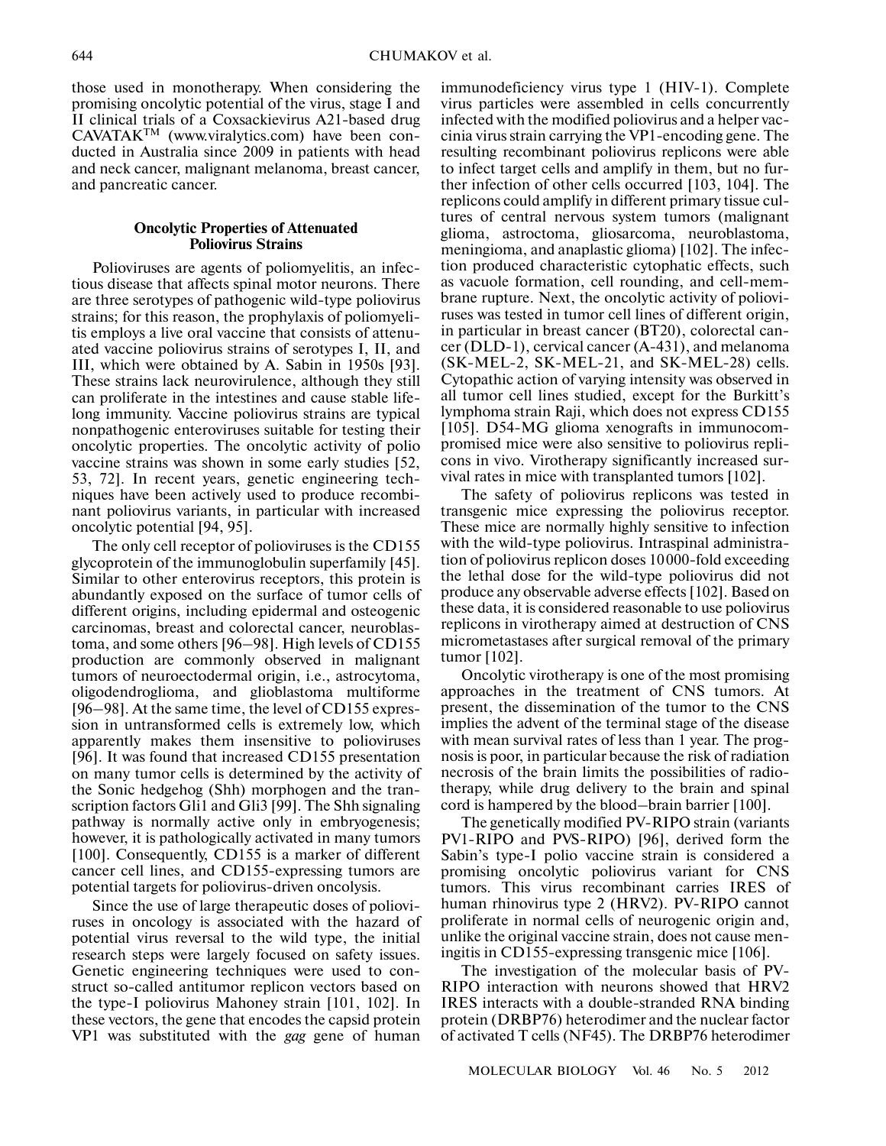those used in monotherapy. When considering the promising oncolytic potential of the virus, stage I and II clinical trials of a Coxsackievirus A21-based drug CAVATAKTM (www.viralytics.com) have been con ducted in Australia since 2009 in patients with head and neck cancer, malignant melanoma, breast cancer, and pancreatic cancer.

### **Oncolytic Properties of Attenuated Poliovirus Strains**

Polioviruses are agents of poliomyelitis, an infec tious disease that affects spinal motor neurons. There are three serotypes of pathogenic wild-type poliovirus strains; for this reason, the prophylaxis of poliomyeli tis employs a live oral vaccine that consists of attenu ated vaccine poliovirus strains of serotypes I, II, and III, which were obtained by A. Sabin in 1950s [93]. These strains lack neurovirulence, although they still can proliferate in the intestines and cause stable life long immunity. Vaccine poliovirus strains are typical nonpathogenic enteroviruses suitable for testing their oncolytic properties. The oncolytic activity of polio vaccine strains was shown in some early studies [52, 53, 72]. In recent years, genetic engineering tech niques have been actively used to produce recombi nant poliovirus variants, in particular with increased oncolytic potential [94, 95].

The only cell receptor of polioviruses is the CD155 glycoprotein of the immunoglobulin superfamily [45]. Similar to other enterovirus receptors, this protein is abundantly exposed on the surface of tumor cells of different origins, including epidermal and osteogenic carcinomas, breast and colorectal cancer, neuroblas toma, and some others [96–98]. High levels of CD155 production are commonly observed in malignant tumors of neuroectodermal origin, i.e., astrocytoma, oligodendroglioma, and glioblastoma multiforme [96–98]. At the same time, the level of CD155 expres sion in untransformed cells is extremely low, which apparently makes them insensitive to polioviruses [96]. It was found that increased CD155 presentation on many tumor cells is determined by the activity of the Sonic hedgehog (Shh) morphogen and the tran scription factors Gli1 and Gli3 [99]. The Shh signaling pathway is normally active only in embryogenesis; however, it is pathologically activated in many tumors [100]. Consequently, CD155 is a marker of different cancer cell lines, and CD155-expressing tumors are potential targets for poliovirus-driven oncolysis.

Since the use of large therapeutic doses of poliovi ruses in oncology is associated with the hazard of potential virus reversal to the wild type, the initial research steps were largely focused on safety issues. Genetic engineering techniques were used to con struct so-called antitumor replicon vectors based on the type-I poliovirus Mahoney strain [101, 102]. In these vectors, the gene that encodes the capsid protein VP1 was substituted with the *gag* gene of human

immunodeficiency virus type 1 (HIV-1). Complete virus particles were assembled in cells concurrently infected with the modified poliovirus and a helper vac cinia virus strain carrying the VP1-encoding gene. The resulting recombinant poliovirus replicons were able to infect target cells and amplify in them, but no fur ther infection of other cells occurred [103, 104]. The replicons could amplify in different primary tissue cul tures of central nervous system tumors (malignant glioma, astroctoma, gliosarcoma, neuroblastoma, meningioma, and anaplastic glioma) [102]. The infec tion produced characteristic cytophatic effects, such as vacuole formation, cell rounding, and cell-mem brane rupture. Next, the oncolytic activity of poliovi ruses was tested in tumor cell lines of different origin, in particular in breast cancer (BT20), colorectal can cer (DLD-1), cervical cancer (A-431), and melanoma (SK-MEL-2, SK-MEL-21, and SK-MEL-28) cells. Cytopathic action of varying intensity was observed in all tumor cell lines studied, except for the Burkitt's lymphoma strain Raji, which does not express CD155 [105]. D54-MG glioma xenografts in immunocom promised mice were also sensitive to poliovirus repli cons in vivo. Virotherapy significantly increased sur vival rates in mice with transplanted tumors [102].

The safety of poliovirus replicons was tested in transgenic mice expressing the poliovirus receptor. These mice are normally highly sensitive to infection with the wild-type poliovirus. Intraspinal administra tion of poliovirus replicon doses 10000-fold exceeding the lethal dose for the wild-type poliovirus did not produce any observable adverse effects [102]. Based on these data, it is considered reasonable to use poliovirus replicons in virotherapy aimed at destruction of CNS micrometastases after surgical removal of the primary tumor [102].

Oncolytic virotherapy is one of the most promising approaches in the treatment of CNS tumors. At present, the dissemination of the tumor to the CNS implies the advent of the terminal stage of the disease with mean survival rates of less than 1 year. The prog nosis is poor, in particular because the risk of radiation necrosis of the brain limits the possibilities of radio therapy, while drug delivery to the brain and spinal cord is hampered by the blood–brain barrier [100].

The genetically modified PV-RIPO strain (variants PV1-RIPO and PVS-RIPO) [96], derived form the Sabin's type-I polio vaccine strain is considered a promising oncolytic poliovirus variant for CNS tumors. This virus recombinant carries IRES of human rhinovirus type 2 (HRV2). PV-RIPO cannot proliferate in normal cells of neurogenic origin and, unlike the original vaccine strain, does not cause men ingitis in CD155-expressing transgenic mice [106].

The investigation of the molecular basis of PV- RIPO interaction with neurons showed that HRV2 IRES interacts with a double-stranded RNA binding protein (DRBP76) heterodimer and the nuclear factor of activated T cells (NF45). The DRBP76 heterodimer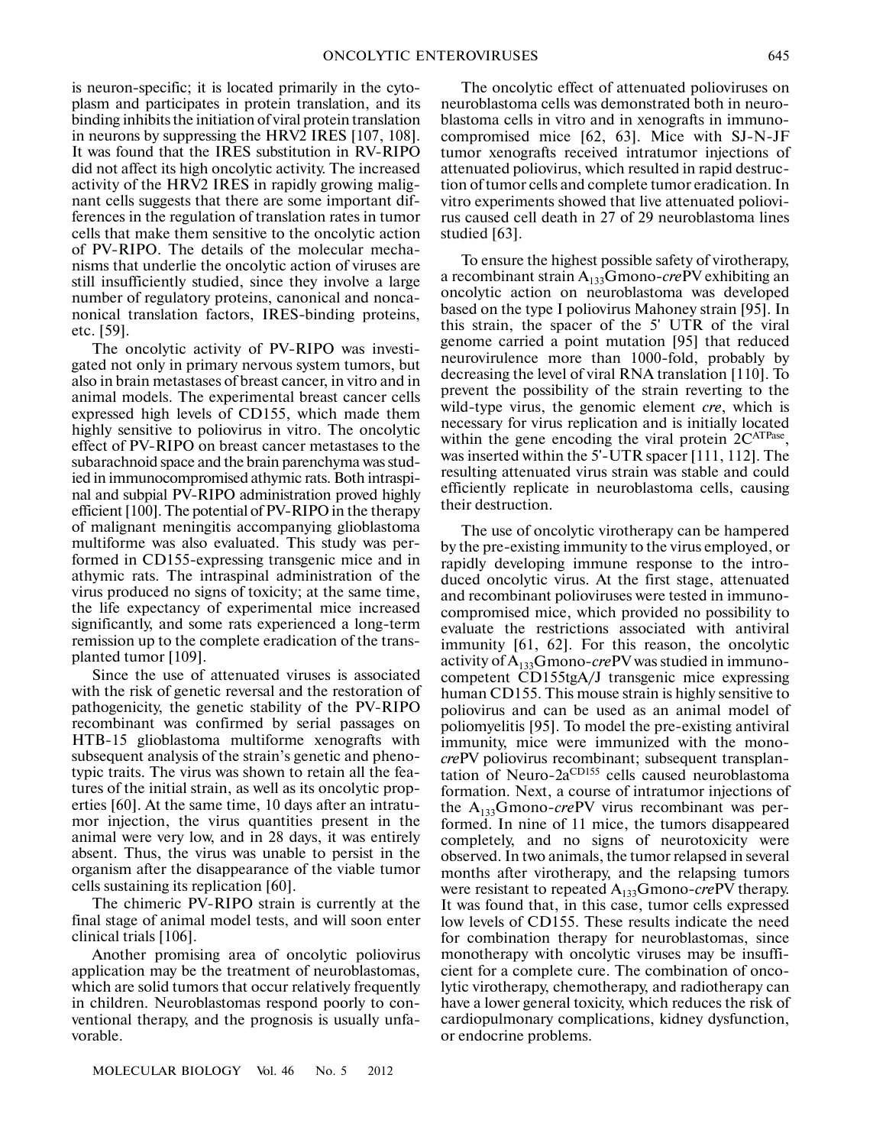is neuron-specific; it is located primarily in the cyto plasm and participates in protein translation, and its binding inhibits the initiation of viral protein translation in neurons by suppressing the HRV2 IRES [107, 108]. It was found that the IRES substitution in RV-RIPO did not affect its high oncolytic activity. The increased activity of the HRV2 IRES in rapidly growing malig nant cells suggests that there are some important dif ferences in the regulation of translation rates in tumor cells that make them sensitive to the oncolytic action of PV-RIPO. The details of the molecular mecha nisms that underlie the oncolytic action of viruses are still insufficiently studied, since they involve a large number of regulatory proteins, canonical and nonca nonical translation factors, IRES-binding proteins, etc. [59].

The oncolytic activity of PV-RIPO was investi gated not only in primary nervous system tumors, but also in brain metastases of breast cancer, in vitro and in animal models. The experimental breast cancer cells expressed high levels of CD155, which made them highly sensitive to poliovirus in vitro. The oncolytic effect of PV-RIPO on breast cancer metastases to the subarachnoid space and the brain parenchyma was stud ied in immunocompromised athymic rats. Both intraspi nal and subpial PV-RIPO administration proved highly efficient [100]. The potential of PV-RIPO in the therapy of malignant meningitis accompanying glioblastoma multiforme was also evaluated. This study was per formed in CD155-expressing transgenic mice and in athymic rats. The intraspinal administration of the virus produced no signs of toxicity; at the same time, the life expectancy of experimental mice increased significantly, and some rats experienced a long-term remission up to the complete eradication of the trans planted tumor [109].

Since the use of attenuated viruses is associated with the risk of genetic reversal and the restoration of pathogenicity, the genetic stability of the PV-RIPO recombinant was confirmed by serial passages on HTB-15 glioblastoma multiforme xenografts with subsequent analysis of the strain's genetic and pheno typic traits. The virus was shown to retain all the fea tures of the initial strain, as well as its oncolytic prop erties [60]. At the same time, 10 days after an intratu mor injection, the virus quantities present in the animal were very low, and in 28 days, it was entirely absent. Thus, the virus was unable to persist in the organism after the disappearance of the viable tumor cells sustaining its replication [60].

The chimeric PV-RIPO strain is currently at the final stage of animal model tests, and will soon enter clinical trials [106].

Another promising area of oncolytic poliovirus application may be the treatment of neuroblastomas, which are solid tumors that occur relatively frequently in children. Neuroblastomas respond poorly to con ventional therapy, and the prognosis is usually unfa vorable.

MOLECULAR BIOLOGY Vol. 46 No. 5 2012

The oncolytic effect of attenuated polioviruses on neuroblastoma cells was demonstrated both in neuro blastoma cells in vitro and in xenografts in immuno compromised mice [62, 63]. Mice with SJ-N-JF tumor xenografts received intratumor injections of attenuated poliovirus, which resulted in rapid destruc tion of tumor cells and complete tumor eradication. In vitro experiments showed that live attenuated poliovi rus caused cell death in 27 of 29 neuroblastoma lines studied [63].

To ensure the highest possible safety of virotherapy, a recombinant strain A133Gmono-*cre*PV exhibiting an oncolytic action on neuroblastoma was developed based on the type I poliovirus Mahoney strain [95]. In this strain, the spacer of the 5' UTR of the viral genome carried a point mutation [95] that reduced neurovirulence more than 1000-fold, probably by decreasing the level of viral RNA translation [110]. To prevent the possibility of the strain reverting to the wild-type virus, the genomic element *cre*, which is necessary for virus replication and is initially located within the gene encoding the viral protein  $2C^{ATPase}$ , was inserted within the 5'-UTR spacer [111, 112]. The resulting attenuated virus strain was stable and could efficiently replicate in neuroblastoma cells, causing their destruction.

The use of oncolytic virotherapy can be hampered by the pre-existing immunity to the virus employed, or rapidly developing immune response to the intro duced oncolytic virus. At the first stage, attenuated and recombinant polioviruses were tested in immuno compromised mice, which provided no possibility to evaluate the restrictions associated with antiviral immunity [61, 62]. For this reason, the oncolytic activity of A133Gmono-*cre*PV was studied in immuno competent CD155tgA/J transgenic mice expressing human CD155. This mouse strain is highly sensitive to poliovirus and can be used as an animal model of poliomyelitis [95]. To model the pre-existing antiviral immunity, mice were immunized with the mono *cre*PV poliovirus recombinant; subsequent transplan tation of Neuro-2a<sup>CD155</sup> cells caused neuroblastoma formation. Next, a course of intratumor injections of the A<sub>133</sub>Gmono-crePV virus recombinant was performed. In nine of 11 mice, the tumors disappeared completely, and no signs of neurotoxicity were observed. In two animals, the tumor relapsed in several months after virotherapy, and the relapsing tumors were resistant to repeated A133Gmono-*cre*PV therapy. It was found that, in this case, tumor cells expressed low levels of CD155. These results indicate the need for combination therapy for neuroblastomas, since monotherapy with oncolytic viruses may be insuffi cient for a complete cure. The combination of onco lytic virotherapy, chemotherapy, and radiotherapy can have a lower general toxicity, which reduces the risk of cardiopulmonary complications, kidney dysfunction, or endocrine problems.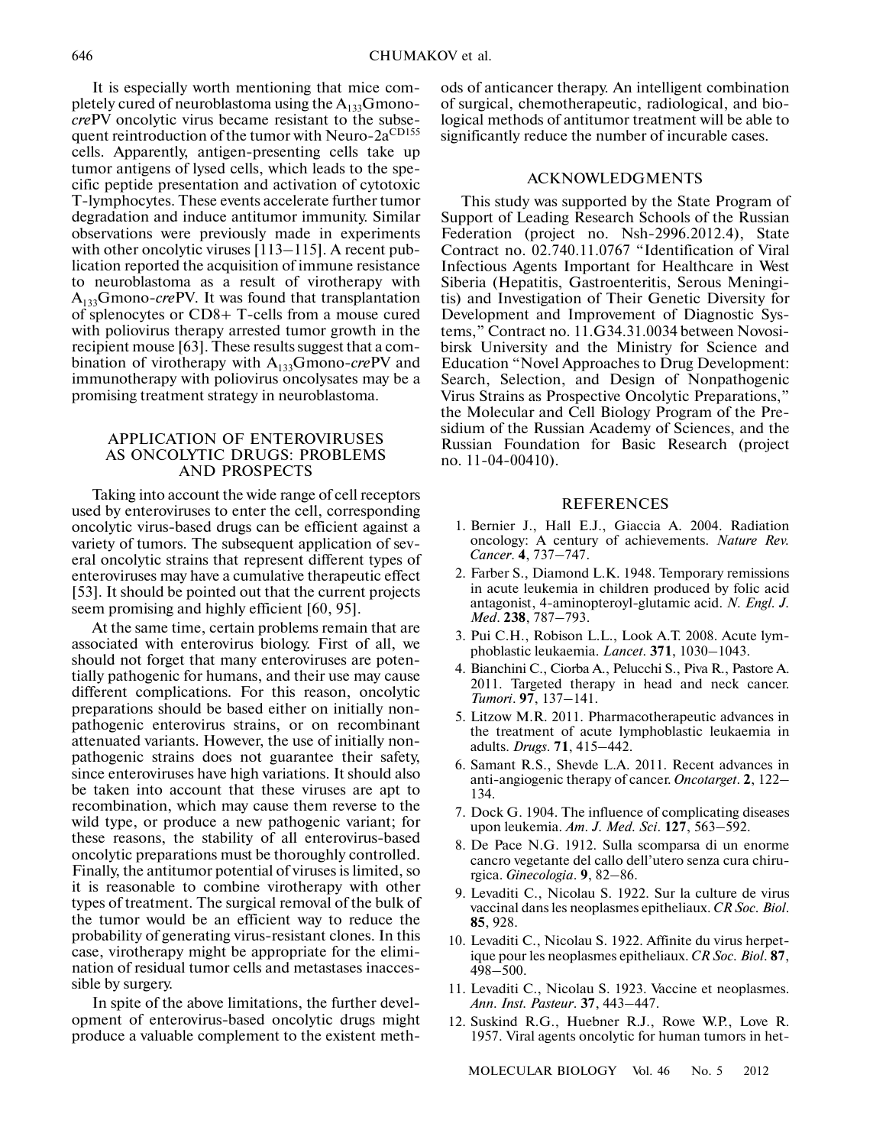It is especially worth mentioning that mice com pletely cured of neuroblastoma using the  $A_{133}G$ mono*cre*PV oncolytic virus became resistant to the subse quent reintroduction of the tumor with Neuro-2a<sup>CD155</sup> cells. Apparently, antigen-presenting cells take up tumor antigens of lysed cells, which leads to the spe cific peptide presentation and activation of cytotoxic T-lymphocytes. These events accelerate further tumor degradation and induce antitumor immunity. Similar observations were previously made in experiments with other oncolytic viruses [113–115]. A recent pub lication reported the acquisition of immune resistance to neuroblastoma as a result of virotherapy with A133Gmono-*cre*PV. It was found that transplantation of splenocytes or CD8+ T-cells from a mouse cured with poliovirus therapy arrested tumor growth in the recipient mouse [63]. These results suggest that a com bination of virotherapy with A<sub>133</sub>Gmono-crePV and immunotherapy with poliovirus oncolysates may be a promising treatment strategy in neuroblastoma.

### APPLICATION OF ENTEROVIRUSES AS ONCOLYTIC DRUGS: PROBLEMS AND PROSPECTS

Taking into account the wide range of cell receptors used by enteroviruses to enter the cell, corresponding oncolytic virus-based drugs can be efficient against a variety of tumors. The subsequent application of sev eral oncolytic strains that represent different types of enteroviruses may have a cumulative therapeutic effect [53]. It should be pointed out that the current projects seem promising and highly efficient [60, 95].

At the same time, certain problems remain that are associated with enterovirus biology. First of all, we should not forget that many enteroviruses are poten tially pathogenic for humans, and their use may cause different complications. For this reason, oncolytic preparations should be based either on initially non pathogenic enterovirus strains, or on recombinant attenuated variants. However, the use of initially non pathogenic strains does not guarantee their safety, since enteroviruses have high variations. It should also be taken into account that these viruses are apt to recombination, which may cause them reverse to the wild type, or produce a new pathogenic variant; for these reasons, the stability of all enterovirus-based oncolytic preparations must be thoroughly controlled. Finally, the antitumor potential of viruses is limited, so it is reasonable to combine virotherapy with other types of treatment. The surgical removal of the bulk of the tumor would be an efficient way to reduce the probability of generating virus-resistant clones. In this case, virotherapy might be appropriate for the elimi nation of residual tumor cells and metastases inacces sible by surgery.

In spite of the above limitations, the further devel opment of enterovirus-based oncolytic drugs might produce a valuable complement to the existent methods of anticancer therapy. An intelligent combination of surgical, chemotherapeutic, radiological, and bio logical methods of antitumor treatment will be able to significantly reduce the number of incurable cases.

#### ACKNOWLEDGMENTS

This study was supported by the State Program of Support of Leading Research Schools of the Russian Federation (project no. Nsh-2996.2012.4), State Contract no. 02.740.11.0767 "Identification of Viral Infectious Agents Important for Healthcare in West Siberia (Hepatitis, Gastroenteritis, Serous Meningi tis) and Investigation of Their Genetic Diversity for Development and Improvement of Diagnostic Sys tems," Contract no. 11.G34.31.0034 between Novosi birsk University and the Ministry for Science and Education "Novel Approaches to Drug Development: Search, Selection, and Design of Nonpathogenic Virus Strains as Prospective Oncolytic Preparations," the Molecular and Cell Biology Program of the Pre sidium of the Russian Academy of Sciences, and the Russian Foundation for Basic Research (project no. 11-04-00410).

#### REFERENCES

- 1. Bernier J., Hall E.J., Giaccia A. 2004. Radiation oncology: A century of achievements. *Nature Rev. Cancer*. **4**, 737–747.
- 2. Farber S., Diamond L.K. 1948. Temporary remissions in acute leukemia in children produced by folic acid antagonist, 4-aminopteroyl-glutamic acid. *N. Engl. J. Med*. **238**, 787–793.
- 3. Pui C.H., Robison L.L., Look A.T. 2008. Acute lym phoblastic leukaemia. *Lancet*. **371**, 1030–1043.
- 4. Bianchini C., Ciorba A., Pelucchi S., Piva R., Pastore A. 2011. Targeted therapy in head and neck cancer. *Tumori*. **97**, 137–141.
- 5. Litzow M.R. 2011. Pharmacotherapeutic advances in the treatment of acute lymphoblastic leukaemia in adults. *Drugs*. **71**, 415–442.
- 6. Samant R.S., Shevde L.A. 2011. Recent advances in anti-angiogenic therapy of cancer. *Oncotarget*. **2**, 122– 134.
- 7. Dock G. 1904. The influence of complicating diseases upon leukemia. *Am. J. Med. Sci*. **127**, 563–592.
- 8. De Pace N.G. 1912. Sulla scomparsa di un enorme cancro vegetante del callo dell'utero senza cura chiru rgica. *Ginecologia*. **9**, 82–86.
- 9. Levaditi C., Nicolau S. 1922. Sur la culture de virus vaccinal dans les neoplasmes epitheliaux. *CR Soc. Biol*. **85**, 928.
- 10. Levaditi C., Nicolau S. 1922. Affinite du virus herpet ique pour les neoplasmes epitheliaux. *CR Soc. Biol*. **87**, 498–500.
- 11. Levaditi C., Nicolau S. 1923. Vaccine et neoplasmes. *Ann. Inst. Pasteur*. **37**, 443–447.
- 12. Suskind R.G., Huebner R.J., Rowe W.P., Love R. 1957. Viral agents oncolytic for human tumors in het-

MOLECULAR BIOLOGY Vol. 46 No. 5 2012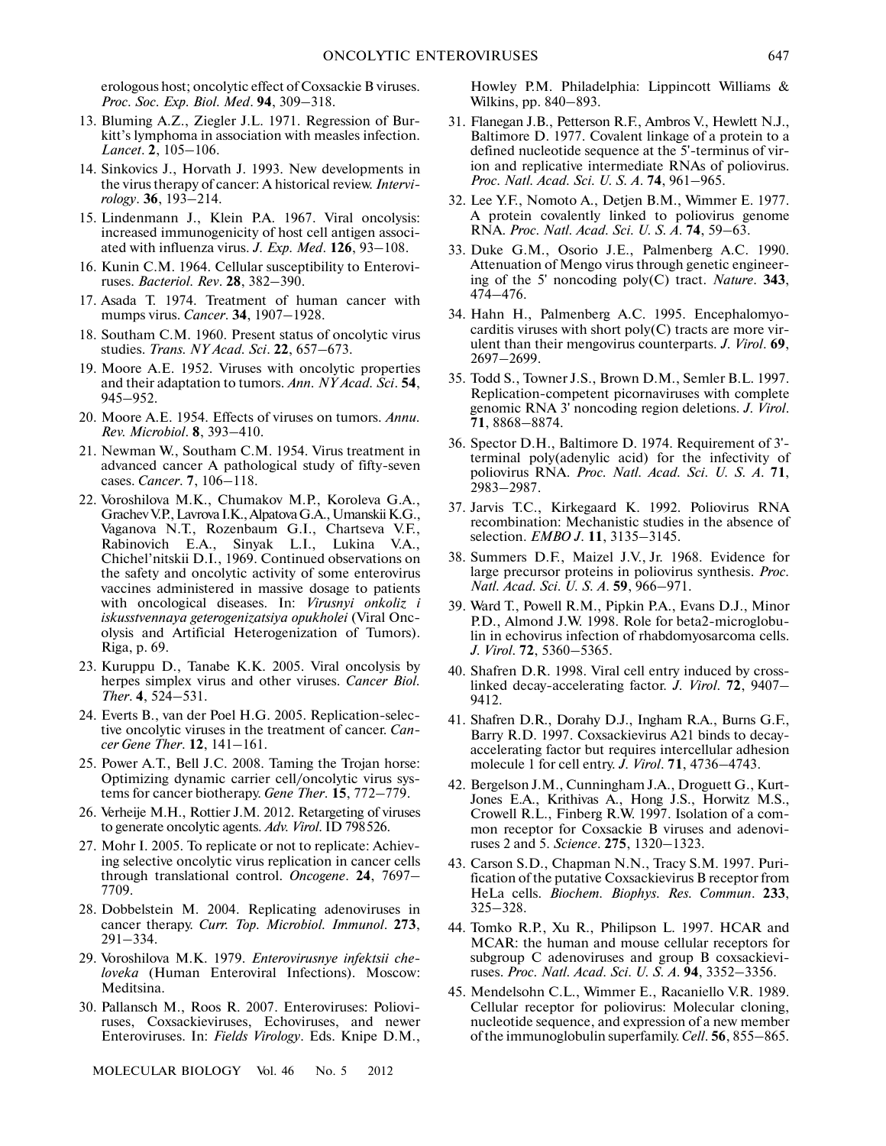erologous host; oncolytic effect of Coxsackie B viruses. *Proc. Soc. Exp. Biol. Med*. **94**, 309–318.

- 13. Bluming A.Z., Ziegler J.L. 1971. Regression of Bur kitt's lymphoma in association with measles infection. *Lancet*. **2**, 105–106.
- 14. Sinkovics J., Horvath J. 1993. New developments in the virus therapy of cancer: A historical review. *Intervi rology*. **36**, 193–214.
- 15. Lindenmann J., Klein P.A. 1967. Viral oncolysis: increased immunogenicity of host cell antigen associ ated with influenza virus. *J. Exp. Med*. **126**, 93–108.
- 16. Kunin C.M. 1964. Cellular susceptibility to Enterovi ruses. *Bacteriol. Rev*. **28**, 382–390.
- 17. Asada T. 1974. Treatment of human cancer with mumps virus. *Cancer*. **34**, 1907–1928.
- 18. Southam C.M. 1960. Present status of oncolytic virus studies. *Trans. NY Acad. Sci*. **22**, 657–673.
- 19. Moore A.E. 1952. Viruses with oncolytic properties and their adaptation to tumors. *Ann. NY Acad. Sci*. **54**, 945–952.
- 20. Moore A.E. 1954. Effects of viruses on tumors. *Annu. Rev. Microbiol*. **8**, 393–410.
- 21. Newman W., Southam C.M. 1954. Virus treatment in advanced cancer A pathological study of fifty-seven cases. *Cancer*. **7**, 106–118.
- 22. Voroshilova M.K., Chumakov M.P., Koroleva G.A., Grachev V.P., Lavrova I.K., Alpatova G.A., Umanskii K.G., Vaganova N.T., Rozenbaum G.I., Chartseva V.F., Rabinovich E.A., Sinyak L.I., Lukina V.A., Chichel'nitskii D.I., 1969. Continued observations on the safety and oncolytic activity of some enterovirus vaccines administered in massive dosage to patients with oncological diseases. In: *Virusnyi onkoliz i iskusstvennaya geterogenizatsiya opukholei* (Viral Onc olysis and Artificial Heterogenization of Tumors). Riga, p. 69.
- 23. Kuruppu D., Tanabe K.K. 2005. Viral oncolysis by herpes simplex virus and other viruses. *Cancer Biol. Ther*. **4**, 524–531.
- 24. Everts B., van der Poel H.G. 2005. Replication-selec tive oncolytic viruses in the treatment of cancer. *Can cer Gene Ther*. **12**, 141–161.
- 25. Power A.T., Bell J.C. 2008. Taming the Trojan horse: Optimizing dynamic carrier cell/oncolytic virus sys tems for cancer biotherapy. *Gene Ther*. **15**, 772–779.
- 26. Verheije M.H., Rottier J.M. 2012. Retargeting of viruses to generate oncolytic agents. *Adv. Virol*. ID 798526.
- 27. Mohr I. 2005. To replicate or not to replicate: Achiev ing selective oncolytic virus replication in cancer cells through translational control. *Oncogene*. **24**, 7697– 7709.
- 28. Dobbelstein M. 2004. Replicating adenoviruses in cancer therapy. *Curr. Top. Microbiol. Immunol*. **273**, 291–334.
- 29. Voroshilova M.K. 1979. *Enterovirusnye infektsii che loveka* (Human Enteroviral Infections). Moscow: Meditsina.
- 30. Pallansch M., Roos R. 2007. Enteroviruses: Poliovi ruses, Coxsackieviruses, Echoviruses, and newer Enteroviruses. In: *Fields Virology*. Eds. Knipe D.M.,

MOLECULAR BIOLOGY Vol. 46 No. 5 2012

Howley P.M. Philadelphia: Lippincott Williams & Wilkins, pp. 840–893.

- 31. Flanegan J.B., Petterson R.F., Ambros V., Hewlett N.J., Baltimore D. 1977. Covalent linkage of a protein to a defined nucleotide sequence at the 5'-terminus of vir ion and replicative intermediate RNAs of poliovirus. *Proc. Natl. Acad. Sci. U. S. A*. **74**, 961–965.
- 32. Lee Y.F., Nomoto A., Detjen B.M., Wimmer E. 1977. A protein covalently linked to poliovirus genome RNA. *Proc. Natl. Acad. Sci. U. S. A*. **74**, 59–63.
- 33. Duke G.M., Osorio J.E., Palmenberg A.C. 1990. Attenuation of Mengo virus through genetic engineer ing of the 5' noncoding poly(C) tract. *Nature*. **343**, 474–476.
- 34. Hahn H., Palmenberg A.C. 1995. Encephalomyo carditis viruses with short poly(C) tracts are more vir ulent than their mengovirus counterparts. *J. Virol*. **69**, 2697–2699.
- 35. Todd S., Towner J.S., Brown D.M., Semler B.L. 1997. Replication-competent picornaviruses with complete genomic RNA 3' noncoding region deletions. *J. Virol*. **71**, 8868–8874.
- 36. Spector D.H., Baltimore D. 1974. Requirement of 3' terminal poly(adenylic acid) for the infectivity of poliovirus RNA. *Proc. Natl. Acad. Sci. U. S. A*. **71**, 2983–2987.
- 37. Jarvis T.C., Kirkegaard K. 1992. Poliovirus RNA recombination: Mechanistic studies in the absence of selection. *EMBO J*. **11**, 3135–3145.
- 38. Summers D.F., Maizel J.V., Jr. 1968. Evidence for large precursor proteins in poliovirus synthesis. *Proc. Natl. Acad. Sci. U. S. A*. **59**, 966–971.
- 39. Ward T., Powell R.M., Pipkin P.A., Evans D.J., Minor P.D., Almond J.W. 1998. Role for beta2-microglobu lin in echovirus infection of rhabdomyosarcoma cells. *J. Virol*. **72**, 5360–5365.
- 40. Shafren D.R. 1998. Viral cell entry induced by cross linked decay-accelerating factor. *J. Virol*. **72**, 9407– 9412.
- 41. Shafren D.R., Dorahy D.J., Ingham R.A., Burns G.F., Barry R.D. 1997. Coxsackievirus A21 binds to decay accelerating factor but requires intercellular adhesion molecule 1 for cell entry. *J. Virol*. **71**, 4736–4743.
- 42. Bergelson J.M., Cunningham J.A., Droguett G., Kurt- Jones E.A., Krithivas A., Hong J.S., Horwitz M.S., Crowell R.L., Finberg R.W. 1997. Isolation of a com mon receptor for Coxsackie B viruses and adenovi ruses 2 and 5. *Science*. **275**, 1320–1323.
- 43. Carson S.D., Chapman N.N., Tracy S.M. 1997. Puri fication of the putative Coxsackievirus B receptor from HeLa cells. *Biochem. Biophys. Res. Commun*. **233**, 325–328.
- 44. Tomko R.P., Xu R., Philipson L. 1997. HCAR and MCAR: the human and mouse cellular receptors for subgroup C adenoviruses and group B coxsackievi ruses. *Proc. Natl. Acad. Sci. U. S. A*. **94**, 3352–3356.
- 45. Mendelsohn C.L., Wimmer E., Racaniello V.R. 1989. Cellular receptor for poliovirus: Molecular cloning, nucleotide sequence, and expression of a new member of the immunoglobulin superfamily. *Cell*. **56**, 855–865.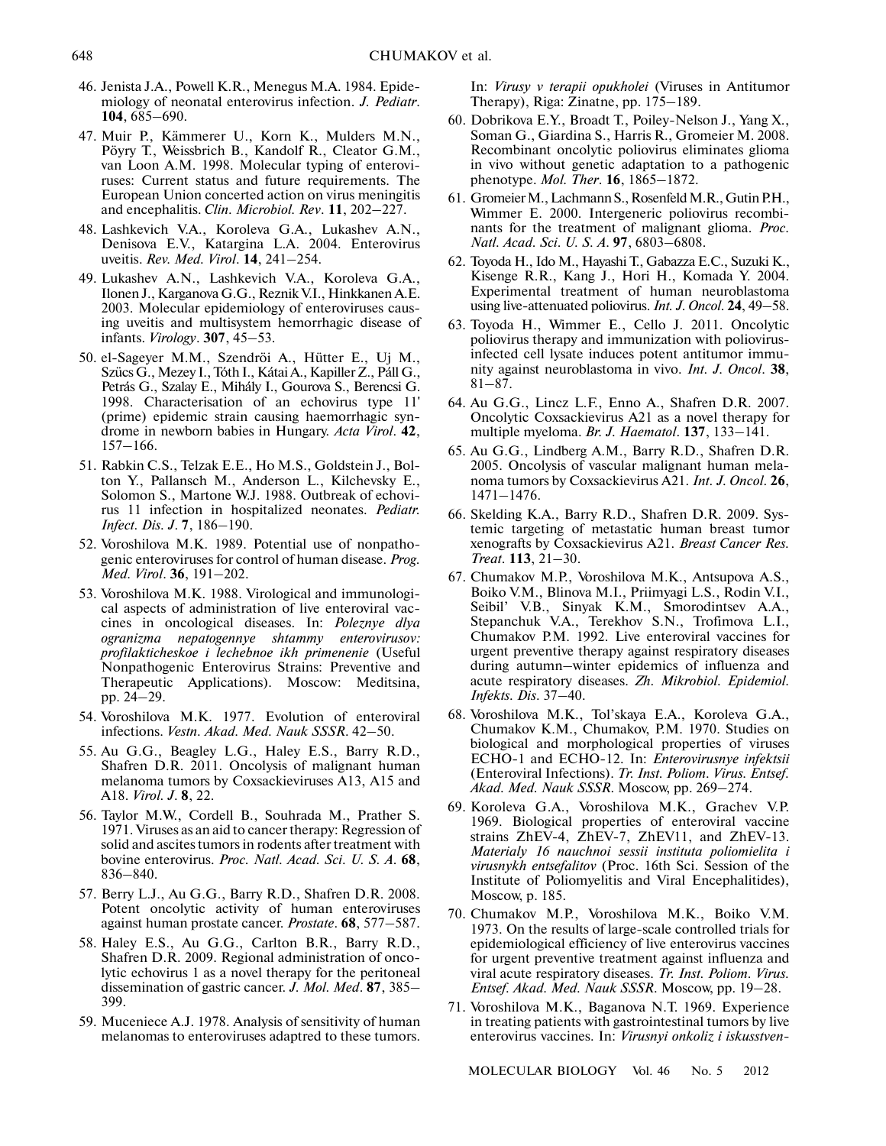- 46. Jenista J.A., Powell K.R., Menegus M.A. 1984. Epide miology of neonatal enterovirus infection. *J. Pediatr*. **104**, 685–690.
- 47. Muir P., Kämmerer U., Korn K., Mulders M.N., Pöyry T., Weissbrich B., Kandolf R., Cleator G.M., van Loon A.M. 1998. Molecular typing of enterovi ruses: Current status and future requirements. The European Union concerted action on virus meningitis and encephalitis. *Clin. Microbiol. Rev*. **11**, 202–227.
- 48. Lashkevich V.A., Koroleva G.A., Lukashev A.N., Denisova E.V., Katargina L.A. 2004. Enterovirus uveitis. *Rev. Med. Virol*. **14**, 241–254.
- 49. Lukashev A.N., Lashkevich V.A., Koroleva G.A., Ilonen J., Karganova G.G., Reznik V.I., Hinkkanen A.E. 2003. Molecular epidemiology of enteroviruses caus ing uveitis and multisystem hemorrhagic disease of infants. *Virology*. **307**, 45–53.
- 50. el-Sageyer M.M., Szendröi A., Hütter E., Uj M., Szücs G., Mezey I., Tóth I., Kátai A., Kapiller Z., Páll G., Petrás G., Szalay E., Mihály I., Gourova S., Berencsi G. 1998. Characterisation of an echovirus type 11' (prime) epidemic strain causing haemorrhagic syn drome in newborn babies in Hungary. *Acta Virol*. **42**, 157–166.
- 51. Rabkin C.S., Telzak E.E., Ho M.S., Goldstein J., Bol ton Y., Pallansch M., Anderson L., Kilchevsky E., Solomon S., Martone W.J. 1988. Outbreak of echovi rus 11 infection in hospitalized neonates. *Pediatr. Infect. Dis. J*. **7**, 186–190.
- 52. Voroshilova M.K. 1989. Potential use of nonpatho genic enteroviruses for control of human disease. *Prog. Med. Virol*. **36**, 191–202.
- 53. Voroshilova M.K. 1988. Virological and immunologi cal aspects of administration of live enteroviral vac cines in oncological diseases. In: *Poleznye dlya ogranizma nepatogennye shtammy enterovirusov: profilakticheskoe i lechebnoe ikh primenenie* (Useful Nonpathogenic Enterovirus Strains: Preventive and Therapeutic Applications). Moscow: Meditsina, pp. 24–29.
- 54. Voroshilova M.K. 1977. Evolution of enteroviral infections. *Vestn. Akad. Med. Nauk SSSR*. 42–50.
- 55. Au G.G., Beagley L.G., Haley E.S., Barry R.D., Shafren D.R. 2011. Oncolysis of malignant human melanoma tumors by Coxsackieviruses A13, A15 and A18. *Virol. J*. **8**, 22.
- 56. Taylor M.W., Cordell B., Souhrada M., Prather S. 1971. Viruses as an aid to cancer therapy: Regression of solid and ascites tumors in rodents after treatment with bovine enterovirus. *Proc. Natl. Acad. Sci. U. S. A*. **68**, 836–840.
- 57. Berry L.J., Au G.G., Barry R.D., Shafren D.R. 2008. Potent oncolytic activity of human enteroviruses against human prostate cancer. *Prostate*. **68**, 577–587.
- 58. Haley E.S., Au G.G., Carlton B.R., Barry R.D., Shafren D.R. 2009. Regional administration of onco lytic echovirus 1 as a novel therapy for the peritoneal dissemination of gastric cancer. *J. Mol. Med*. **87**, 385– 399.
- 59. Muceniece A.J. 1978. Analysis of sensitivity of human melanomas to enteroviruses adaptred to these tumors.

In: *Virusy v terapii opukholei* (Viruses in Antitumor Therapy), Riga: Zinatne, pp. 175–189.

- 60. Dobrikova E.Y., Broadt T., Poiley-Nelson J., Yang X., Soman G., Giardina S., Harris R., Gromeier M. 2008. Recombinant oncolytic poliovirus eliminates glioma in vivo without genetic adaptation to a pathogenic phenotype. *Mol. Ther*. **16**, 1865–1872.
- 61. Gromeier M., Lachmann S., Rosenfeld M.R., Gutin P.H., Wimmer E. 2000. Intergeneric poliovirus recombi nants for the treatment of malignant glioma. *Proc. Natl. Acad. Sci. U. S. A*. **97**, 6803–6808.
- 62. Toyoda H., Ido M., Hayashi T., Gabazza E.C., Suzuki K., Kisenge R.R., Kang J., Hori H., Komada Y. 2004. Experimental treatment of human neuroblastoma using live-attenuated poliovirus. *Int. J. Oncol*. **24**, 49–58.
- 63. Toyoda H., Wimmer E., Cello J. 2011. Oncolytic poliovirus therapy and immunization with poliovirus infected cell lysate induces potent antitumor immu nity against neuroblastoma in vivo. *Int. J. Oncol*. **38**, 81–87.
- 64. Au G.G., Lincz L.F., Enno A., Shafren D.R. 2007. Oncolytic Coxsackievirus A21 as a novel therapy for multiple myeloma. *Br. J. Haematol*. **137**, 133–141.
- 65. Au G.G., Lindberg A.M., Barry R.D., Shafren D.R. 2005. Oncolysis of vascular malignant human mela noma tumors by Coxsackievirus A21. *Int. J. Oncol*. **26**, 1471–1476.
- 66. Skelding K.A., Barry R.D., Shafren D.R. 2009. Sys temic targeting of metastatic human breast tumor xenografts by Coxsackievirus A21. *Breast Cancer Res. Treat*. **113**, 21–30.
- 67. Chumakov M.P., Voroshilova M.K., Antsupova A.S., Boiko V.M., Blinova M.I., Priimyagi L.S., Rodin V.I., Seibil' V.B., Sinyak K.M., Smorodintsev A.A., Stepanchuk V.A., Terekhov S.N., Trofimova L.I., Chumakov P.M. 1992. Live enteroviral vaccines for urgent preventive therapy against respiratory diseases during autumn–winter epidemics of influenza and acute respiratory diseases. *Zh. Mikrobiol. Epidemiol. Infekts. Dis*. 37–40.
- 68. Voroshilova M.K., Tol'skaya E.A., Koroleva G.A., Chumakov K.M., Chumakov, P.M. 1970. Studies on biological and morphological properties of viruses ECHO-1 and ECHO-12. In: *Enterovirusnye infektsii* (Enteroviral Infections). *Tr. Inst. Poliom. Virus. Entsef. Akad. Med. Nauk SSSR*. Moscow, pp. 269–274.
- 69. Koroleva G.A., Voroshilova M.K., Grachev V.P. 1969. Biological properties of enteroviral vaccine strains ZhEV-4, ZhEV-7, ZhEV11, and ZhEV-13. *Materialy 16 nauchnoi sessii instituta poliomielita i virusnykh entsefalitov* (Proc. 16th Sci. Session of the Institute of Poliomyelitis and Viral Encephalitides), Moscow, p. 185.
- 70. Chumakov M.P., Voroshilova M.K., Boiko V.M. 1973. On the results of large-scale controlled trials for epidemiological efficiency of live enterovirus vaccines for urgent preventive treatment against influenza and viral acute respiratory diseases. *Tr. Inst. Poliom. Virus. Entsef. Akad. Med. Nauk SSSR*. Moscow, pp. 19–28.
- 71. Voroshilova M.K., Baganova N.T. 1969. Experience in treating patients with gastrointestinal tumors by live enterovirus vaccines. In: *Virusnyi onkoliz i iskusstven-*

MOLECULAR BIOLOGY Vol. 46 No. 5 2012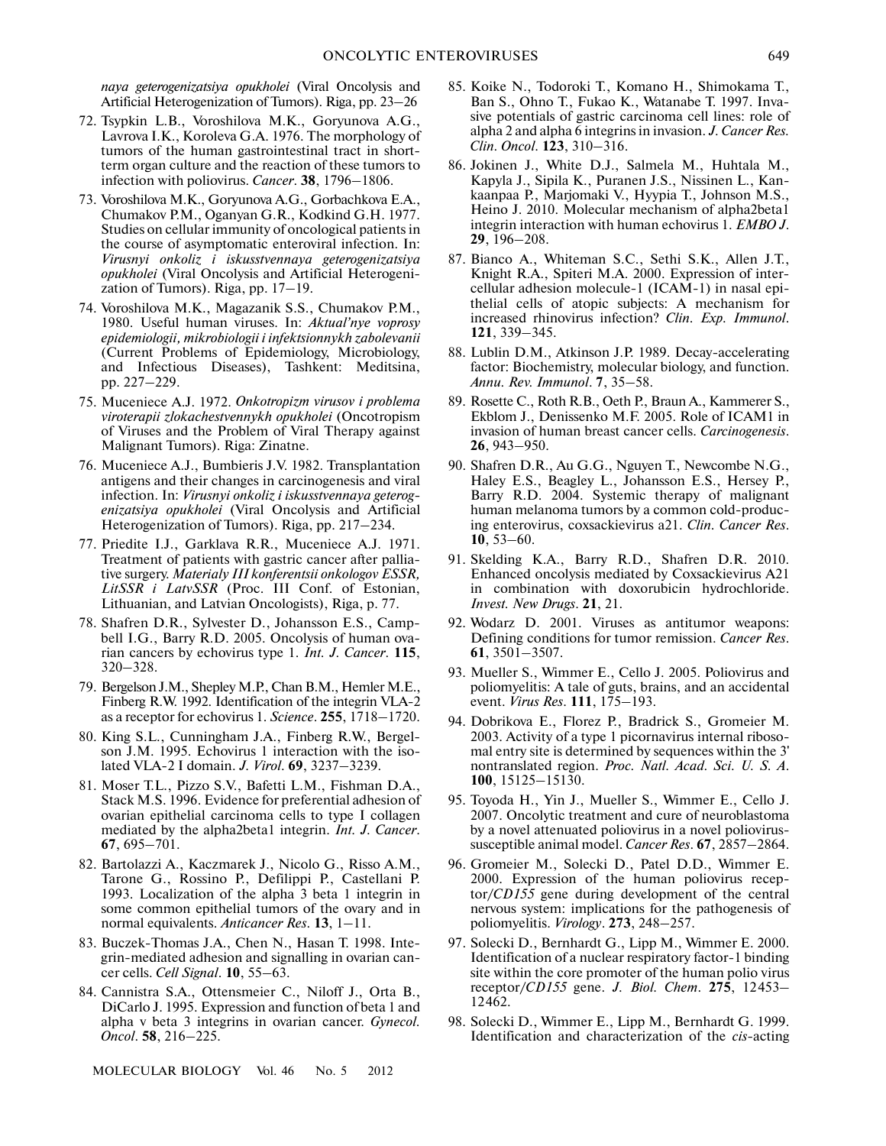*naya geterogenizatsiya opukholei* (Viral Oncolysis and Artificial Heterogenization of Tumors). Riga, pp. 23–26

- 72. Tsypkin L.B., Voroshilova M.K., Goryunova A.G., Lavrova I.K., Koroleva G.A. 1976. The morphology of tumors of the human gastrointestinal tract in short term organ culture and the reaction of these tumors to infection with poliovirus. *Cancer*. **38**, 1796–1806.
- 73. Voroshilova M.K., Goryunova A.G., Gorbachkova E.A., Chumakov P.M., Oganyan G.R., Kodkind G.H. 1977. Studies on cellular immunity of oncological patients in the course of asymptomatic enteroviral infection. In: *Virusnyi onkoliz i iskusstvennaya geterogenizatsiya opukholei* (Viral Oncolysis and Artificial Heterogeni zation of Tumors). Riga, pp. 17–19.
- 74. Voroshilova M.K., Magazanik S.S., Chumakov P.M., 1980. Useful human viruses. In: *Aktual'nye voprosy epidemiologii, mikrobiologii i infektsionnykh zabolevanii* (Current Problems of Epidemiology, Microbiology, and Infectious Diseases), Tashkent: Meditsina, pp. 227–229.
- 75. Muceniece A.J. 1972. *Onkotropizm virusov i problema viroterapii zlokachestvennykh opukholei* (Oncotropism of Viruses and the Problem of Viral Therapy against Malignant Tumors). Riga: Zinatne.
- 76. Muceniece A.J., Bumbieris J.V. 1982. Transplantation antigens and their changes in carcinogenesis and viral infection. In: *Virusnyi onkoliz i iskusstvennaya geterog enizatsiya opukholei* (Viral Oncolysis and Artificial Heterogenization of Tumors). Riga, pp. 217–234.
- 77. Priedite I.J., Garklava R.R., Muceniece A.J. 1971. Treatment of patients with gastric cancer after pallia tive surgery. *Materialy III konferentsii onkologov ESSR, LitSSR i LatvSSR* (Proc. III Conf. of Estonian, Lithuanian, and Latvian Oncologists), Riga, p. 77.
- 78. Shafren D.R., Sylvester D., Johansson E.S., Camp bell I.G., Barry R.D. 2005. Oncolysis of human ova rian cancers by echovirus type 1. *Int. J. Cancer*. **115**, 320–328.
- 79. Bergelson J.M., Shepley M.P., Chan B.M., Hemler M.E., Finberg R.W. 1992. Identification of the integrin VLA-2 as a receptor for echovirus 1. *Science*. **255**, 1718–1720.
- 80. King S.L., Cunningham J.A., Finberg R.W., Bergel son J.M. 1995. Echovirus 1 interaction with the iso lated VLA-2 I domain. *J. Virol*. **69**, 3237–3239.
- 81. Moser T.L., Pizzo S.V., Bafetti L.M., Fishman D.A., Stack M.S. 1996. Evidence for preferential adhesion of ovarian epithelial carcinoma cells to type I collagen mediated by the alpha2beta1 integrin. *Int. J. Cancer*. **67**, 695–701.
- 82. Bartolazzi A., Kaczmarek J., Nicolo G., Risso A.M., Tarone G., Rossino P., Defilippi P., Castellani P. 1993. Localization of the alpha 3 beta 1 integrin in some common epithelial tumors of the ovary and in normal equivalents. *Anticancer Res*. **13**, 1–11.
- 83. Buczek-Thomas J.A., Chen N., Hasan T. 1998. Inte grin-mediated adhesion and signalling in ovarian can cer cells. *Cell Signal*. **10**, 55–63.
- 84. Cannistra S.A., Ottensmeier C., Niloff J., Orta B., DiCarlo J. 1995. Expression and function of beta 1 and alpha v beta 3 integrins in ovarian cancer. *Gynecol. Oncol*. **58**, 216–225.

MOLECULAR BIOLOGY Vol. 46 No. 5 2012

- 85. Koike N., Todoroki T., Komano H., Shimokama T., Ban S., Ohno T., Fukao K., Watanabe T. 1997. Inva sive potentials of gastric carcinoma cell lines: role of alpha 2 and alpha 6 integrins in invasion. *J. Cancer Res. Clin. Oncol*. **123**, 310–316.
- 86. Jokinen J., White D.J., Salmela M., Huhtala M., Kapyla J., Sipila K., Puranen J.S., Nissinen L., Kan kaanpaa P., Marjomaki V., Hyypia T., Johnson M.S., Heino J. 2010. Molecular mechanism of alpha2beta1 integrin interaction with human echovirus 1. *EMBO J*. **29**, 196–208.
- 87. Bianco A., Whiteman S.C., Sethi S.K., Allen J.T., Knight R.A., Spiteri M.A. 2000. Expression of inter cellular adhesion molecule-1 (ICAM-1) in nasal epi thelial cells of atopic subjects: A mechanism for increased rhinovirus infection? *Clin. Exp. Immunol*. **121**, 339–345.
- 88. Lublin D.M., Atkinson J.P. 1989. Decay-accelerating factor: Biochemistry, molecular biology, and function. *Annu. Rev. Immunol*. **7**, 35–58.
- 89. Rosette C., Roth R.B., Oeth P., Braun A., Kammerer S., Ekblom J., Denissenko M.F. 2005. Role of ICAM1 in invasion of human breast cancer cells. *Carcinogenesis*. **26**, 943–950.
- 90. Shafren D.R., Au G.G., Nguyen T., Newcombe N.G., Haley E.S., Beagley L., Johansson E.S., Hersey P., Barry R.D. 2004. Systemic therapy of malignant human melanoma tumors by a common cold-produc ing enterovirus, coxsackievirus a21. *Clin. Cancer Res*. **10**, 53–60.
- 91. Skelding K.A., Barry R.D., Shafren D.R. 2010. Enhanced oncolysis mediated by Coxsackievirus A21 in combination with doxorubicin hydrochloride. *Invest. New Drugs*. **21**, 21.
- 92. Wodarz D. 2001. Viruses as antitumor weapons: Defining conditions for tumor remission. *Cancer Res*. **61**, 3501–3507.
- 93. Mueller S., Wimmer E., Cello J. 2005. Poliovirus and poliomyelitis: A tale of guts, brains, and an accidental event. *Virus Res*. **111**, 175–193.
- 94. Dobrikova E., Florez P., Bradrick S., Gromeier M. 2003. Activity of a type 1 picornavirus internal riboso mal entry site is determined by sequences within the 3' nontranslated region. *Proc. Natl. Acad. Sci. U. S. A*. **100**, 15125–15130.
- 95. Toyoda H., Yin J., Mueller S., Wimmer E., Cello J. 2007. Oncolytic treatment and cure of neuroblastoma by a novel attenuated poliovirus in a novel poliovirus susceptible animal model. *Cancer Res*. **67**, 2857–2864.
- 96. Gromeier M., Solecki D., Patel D.D., Wimmer E. 2000. Expression of the human poliovirus recep tor/*CD155* gene during development of the central nervous system: implications for the pathogenesis of poliomyelitis. *Virology*. **273**, 248–257.
- 97. Solecki D., Bernhardt G., Lipp M., Wimmer E. 2000. Identification of a nuclear respiratory factor-1 binding site within the core promoter of the human polio virus receptor/*CD155* gene. *J. Biol. Chem*. **275**, 12453– 12462.
- 98. Solecki D., Wimmer E., Lipp M., Bernhardt G. 1999. Identification and characterization of the *cis*-acting